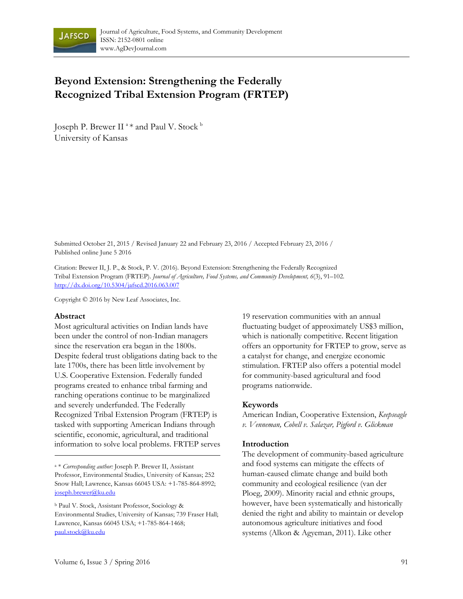

# **Beyond Extension: Strengthening the Federally Recognized Tribal Extension Program (FRTEP)**

Joseph P. Brewer II <sup>a</sup> \* and Paul V. Stock <sup>b</sup> University of Kansas

Submitted October 21, 2015 / Revised January 22 and February 23, 2016 / Accepted February 23, 2016 / Published online June 5 2016

Citation: Brewer II, J. P., & Stock, P. V. (2016). Beyond Extension: Strengthening the Federally Recognized Tribal Extension Program (FRTEP). *Journal of Agriculture, Food Systems, and Community Development, 6*(3), 91–102. http://dx.doi.org/10.5304/jafscd.2016.063.007

Copyright © 2016 by New Leaf Associates, Inc.

#### **Abstract**

Most agricultural activities on Indian lands have been under the control of non-Indian managers since the reservation era began in the 1800s. Despite federal trust obligations dating back to the late 1700s, there has been little involvement by U.S. Cooperative Extension. Federally funded programs created to enhance tribal farming and ranching operations continue to be marginalized and severely underfunded. The Federally Recognized Tribal Extension Program (FRTEP) is tasked with supporting American Indians through scientific, economic, agricultural, and traditional information to solve local problems. FRTEP serves 19 reservation communities with an annual fluctuating budget of approximately US\$3 million, which is nationally competitive. Recent litigation offers an opportunity for FRTEP to grow, serve as a catalyst for change, and energize economic stimulation. FRTEP also offers a potential model for community-based agricultural and food programs nationwide.

#### **Keywords**

American Indian, Cooperative Extension, *Keepseagle v. Venneman, Cobell v. Salazar, Pigford v. Glickman*

#### **Introduction**

The development of community-based agriculture and food systems can mitigate the effects of human-caused climate change and build both community and ecological resilience (van der Ploeg, 2009). Minority racial and ethnic groups, however, have been systematically and historically denied the right and ability to maintain or develop autonomous agriculture initiatives and food systems (Alkon & Agyeman, 2011). Like other

a \* *Corresponding author:* Joseph P. Brewer II, Assistant Professor, Environmental Studies, University of Kansas; 252 Snow Hall; Lawrence, Kansas 66045 USA: +1-785-864-8992; joseph.brewer@ku.edu

b Paul V. Stock, Assistant Professor, Sociology & Environmental Studies, University of Kansas; 739 Fraser Hall; Lawrence, Kansas 66045 USA; +1-785-864-1468; paul.stock@ku.edu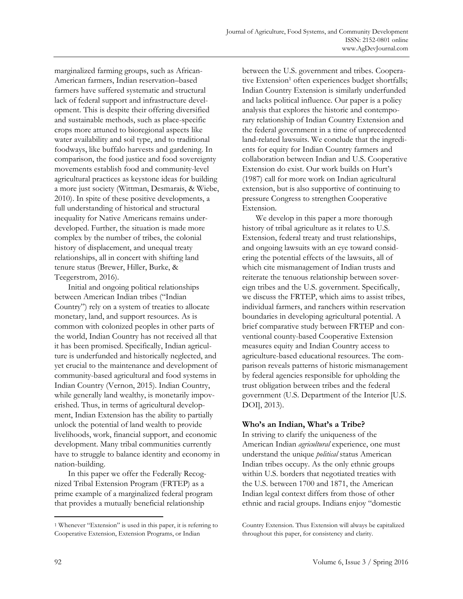marginalized farming groups, such as African-American farmers, Indian reservation–based farmers have suffered systematic and structural lack of federal support and infrastructure development. This is despite their offering diversified and sustainable methods, such as place-specific crops more attuned to bioregional aspects like water availability and soil type, and to traditional foodways, like buffalo harvests and gardening. In comparison, the food justice and food sovereignty movements establish food and community-level agricultural practices as keystone ideas for building a more just society (Wittman, Desmarais, & Wiebe, 2010). In spite of these positive developments, a full understanding of historical and structural inequality for Native Americans remains underdeveloped. Further, the situation is made more complex by the number of tribes, the colonial history of displacement, and unequal treaty relationships, all in concert with shifting land tenure status (Brewer, Hiller, Burke, & Teegerstrom, 2016).

 Initial and ongoing political relationships between American Indian tribes ("Indian Country") rely on a system of treaties to allocate monetary, land, and support resources. As is common with colonized peoples in other parts of the world, Indian Country has not received all that it has been promised. Specifically, Indian agriculture is underfunded and historically neglected, and yet crucial to the maintenance and development of community-based agricultural and food systems in Indian Country (Vernon, 2015). Indian Country, while generally land wealthy, is monetarily impoverished. Thus, in terms of agricultural development, Indian Extension has the ability to partially unlock the potential of land wealth to provide livelihoods, work, financial support, and economic development. Many tribal communities currently have to struggle to balance identity and economy in nation-building.

 In this paper we offer the Federally Recognized Tribal Extension Program (FRTEP) as a prime example of a marginalized federal program that provides a mutually beneficial relationship

between the U.S. government and tribes. Cooperative Extension<sup>1</sup> often experiences budget shortfalls; Indian Country Extension is similarly underfunded and lacks political influence. Our paper is a policy analysis that explores the historic and contemporary relationship of Indian Country Extension and the federal government in a time of unprecedented land-related lawsuits. We conclude that the ingredients for equity for Indian Country farmers and collaboration between Indian and U.S. Cooperative Extension do exist. Our work builds on Hurt's (1987) call for more work on Indian agricultural extension, but is also supportive of continuing to pressure Congress to strengthen Cooperative Extension.

 We develop in this paper a more thorough history of tribal agriculture as it relates to U.S. Extension, federal treaty and trust relationships, and ongoing lawsuits with an eye toward considering the potential effects of the lawsuits, all of which cite mismanagement of Indian trusts and reiterate the tenuous relationship between sovereign tribes and the U.S. government. Specifically, we discuss the FRTEP, which aims to assist tribes, individual farmers, and ranchers within reservation boundaries in developing agricultural potential. A brief comparative study between FRTEP and conventional county-based Cooperative Extension measures equity and Indian Country access to agriculture-based educational resources. The comparison reveals patterns of historic mismanagement by federal agencies responsible for upholding the trust obligation between tribes and the federal government (U.S. Department of the Interior [U.S. DOI], 2013).

# **Who's an Indian, What's a Tribe?**

In striving to clarify the uniqueness of the American Indian *agricultural* experience, one must understand the unique *political* status American Indian tribes occupy. As the only ethnic groups within U.S. borders that negotiated treaties with the U.S. between 1700 and 1871, the American Indian legal context differs from those of other ethnic and racial groups. Indians enjoy "domestic

 $\overline{\phantom{a}}$ 

<sup>1</sup> Whenever "Extension" is used in this paper, it is referring to Cooperative Extension, Extension Programs, or Indian

Country Extension. Thus Extension will always be capitalized throughout this paper, for consistency and clarity.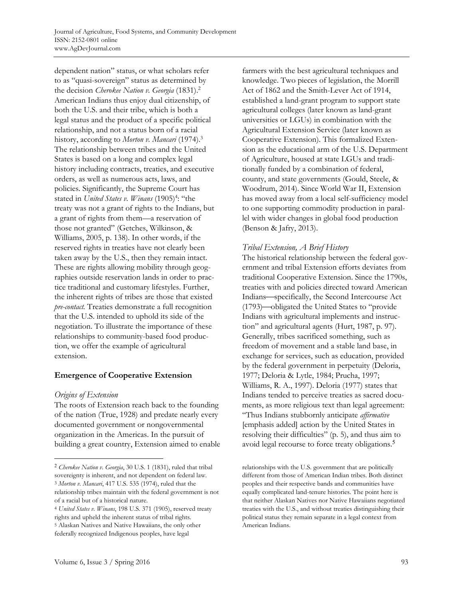dependent nation" status, or what scholars refer to as "quasi-sovereign" status as determined by the decision *Cherokee Nation v. Georgia* (1831).2 American Indians thus enjoy dual citizenship, of both the U.S. and their tribe, which is both a legal status and the product of a specific political relationship, and not a status born of a racial history, according to *Morton v. Mancari* (1974).3 The relationship between tribes and the United States is based on a long and complex legal history including contracts, treaties, and executive orders, as well as numerous acts, laws, and policies. Significantly, the Supreme Court has stated in *United States v. Winans* (1905)<sup>4</sup>: "the treaty was not a grant of rights to the Indians, but a grant of rights from them—a reservation of those not granted" (Getches, Wilkinson, & Williams, 2005, p. 138). In other words, if the reserved rights in treaties have not clearly been taken away by the U.S., then they remain intact. These are rights allowing mobility through geographies outside reservation lands in order to practice traditional and customary lifestyles. Further, the inherent rights of tribes are those that existed *pre-contact.* Treaties demonstrate a full recognition that the U.S. intended to uphold its side of the negotiation. To illustrate the importance of these relationships to community-based food production, we offer the example of agricultural extension.

## **Emergence of Cooperative Extension**

## *Origins of Extension*

 $\overline{\phantom{a}}$ 

The roots of Extension reach back to the founding of the nation (True, 1928) and predate nearly every documented government or nongovernmental organization in the Americas. In the pursuit of building a great country, Extension aimed to enable farmers with the best agricultural techniques and knowledge. Two pieces of legislation, the Morrill Act of 1862 and the Smith-Lever Act of 1914, established a land-grant program to support state agricultural colleges (later known as land-grant universities or LGUs) in combination with the Agricultural Extension Service (later known as Cooperative Extension). This formalized Extension as the educational arm of the U.S. Department of Agriculture, housed at state LGUs and traditionally funded by a combination of federal, county, and state governments (Gould, Steele, & Woodrum, 2014). Since World War II, Extension has moved away from a local self-sufficiency model to one supporting commodity production in parallel with wider changes in global food production (Benson & Jafry, 2013).

# *Tribal Extension, A Brief History*

The historical relationship between the federal government and tribal Extension efforts deviates from traditional Cooperative Extension. Since the 1790s, treaties with and policies directed toward American Indians⎯specifically, the Second Intercourse Act (1793)⎯obligated the United States to "provide Indians with agricultural implements and instruction" and agricultural agents (Hurt, 1987, p. 97). Generally, tribes sacrificed something, such as freedom of movement and a stable land base, in exchange for services, such as education, provided by the federal government in perpetuity (Deloria, 1977; Deloria & Lytle, 1984; Prucha, 1997; Williams, R. A., 1997). Deloria (1977) states that Indians tended to perceive treaties as sacred documents, as more religious text than legal agreement: "Thus Indians stubbornly anticipate *affirmative* [emphasis added] action by the United States in resolving their difficulties" (p. 5), and thus aim to avoid legal recourse to force treaty obligations.<sup>5</sup>

<sup>2</sup> *Cherokee Nation v. Georgia*, 30 U.S. 1 (1831), ruled that tribal sovereignty is inherent, and not dependent on federal law. 3 *Morton v. Mancari*, 417 U.S. 535 (1974), ruled that the relationship tribes maintain with the federal government is not of a racial but of a historical nature.

<sup>4</sup> *United States v. Winans*, 198 U.S. 371 (1905), reserved treaty rights and upheld the inherent status of tribal rights. 5 Alaskan Natives and Native Hawaiians, the only other federally recognized Indigenous peoples, have legal

relationships with the U.S. government that are politically different from those of American Indian tribes. Both distinct peoples and their respective bands and communities have equally complicated land-tenure histories. The point here is that neither Alaskan Natives nor Native Hawaiians negotiated treaties with the U.S., and without treaties distinguishing their political status they remain separate in a legal context from American Indians.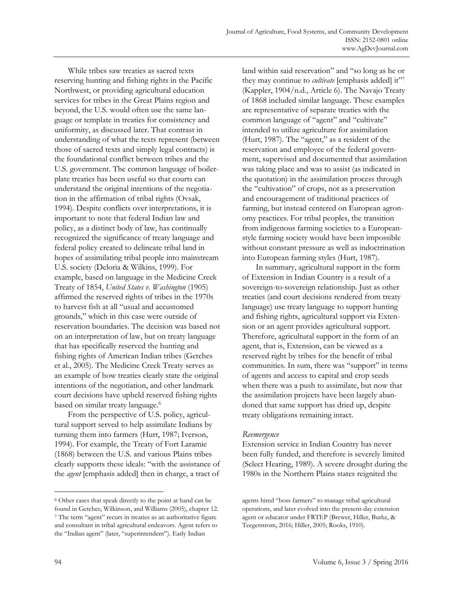While tribes saw treaties as sacred texts reserving hunting and fishing rights in the Pacific Northwest, or providing agricultural education services for tribes in the Great Plains region and beyond, the U.S. would often use the same language or template in treaties for consistency and uniformity, as discussed later. That contrast in understanding of what the texts represent (between those of sacred texts and simply legal contracts) is the foundational conflict between tribes and the U.S. government. The common language of boilerplate treaties has been useful so that courts can understand the original intentions of the negotiation in the affirmation of tribal rights (Ovsak, 1994). Despite conflicts over interpretations, it is important to note that federal Indian law and policy, as a distinct body of law, has continually recognized the significance of treaty language and federal policy created to delineate tribal land in hopes of assimilating tribal people into mainstream U.S. society (Deloria & Wilkins, 1999). For example, based on language in the Medicine Creek Treaty of 1854, *United States v. Washington* (1905) affirmed the reserved rights of tribes in the 1970s to harvest fish at all "usual and accustomed grounds," which in this case were outside of reservation boundaries. The decision was based not on an interpretation of law, but on treaty language that has specifically reserved the hunting and fishing rights of American Indian tribes (Getches et al., 2005). The Medicine Creek Treaty serves as an example of how treaties clearly state the original intentions of the negotiation, and other landmark court decisions have upheld reserved fishing rights based on similar treaty language.<sup>6</sup>

 From the perspective of U.S. policy, agricultural support served to help assimilate Indians by turning them into farmers (Hurt, 1987; Iverson, 1994). For example, the Treaty of Fort Laramie (1868) between the U.S. and various Plains tribes clearly supports these ideals: "with the assistance of the *agent* [emphasis added] then in charge, a tract of

land within said reservation" and "so long as he or they may continue to *cultivate* [emphasis added] it"<sup>7</sup> (Kappler, 1904/n.d., Article 6). The Navajo Treaty of 1868 included similar language. These examples are representative of separate treaties with the common language of "agent" and "cultivate" intended to utilize agriculture for assimilation (Hurt, 1987). The "agent," as a resident of the reservation and employee of the federal government, supervised and documented that assimilation was taking place and was to assist (as indicated in the quotation) in the assimilation process through the "cultivation" of crops, not as a preservation and encouragement of traditional practices of farming, but instead centered on European agronomy practices. For tribal peoples, the transition from indigenous farming societies to a Europeanstyle farming society would have been impossible without constant pressure as well as indoctrination into European farming styles (Hurt, 1987).

 In summary, agricultural support in the form of Extension in Indian Country is a result of a sovereign-to-sovereign relationship. Just as other treaties (and court decisions rendered from treaty language) use treaty language to support hunting and fishing rights, agricultural support via Extension or an agent provides agricultural support. Therefore, agricultural support in the form of an agent, that is, Extension, can be viewed as a reserved right by tribes for the benefit of tribal communities. In sum, there was "support" in terms of agents and access to capital and crop seeds when there was a push to assimilate, but now that the assimilation projects have been largely abandoned that same support has dried up, despite treaty obligations remaining intact.

#### *Reemergence*

Extension service in Indian Country has never been fully funded, and therefore is severely limited (Select Hearing, 1989). A severe drought during the 1980s in the Northern Plains states reignited the

 $\overline{\phantom{a}}$ 

<sup>6</sup> Other cases that speak directly to the point at hand can be found in Getches, Wilkinson, and Williams (2005), chapter 12. 7 The term "agent" recurs in treaties as an authoritative figure and consultant in tribal agricultural endeavors. Agent refers to the "Indian agent" (later, "superintendent"). Early Indian

agents hired "boss farmers" to manage tribal agricultural operations, and later evolved into the present-day extension agent or educator under FRTEP (Brewer, Hiller, Burke, & Teegerstrom, 2016; Hiller, 2005; Rooks, 1910).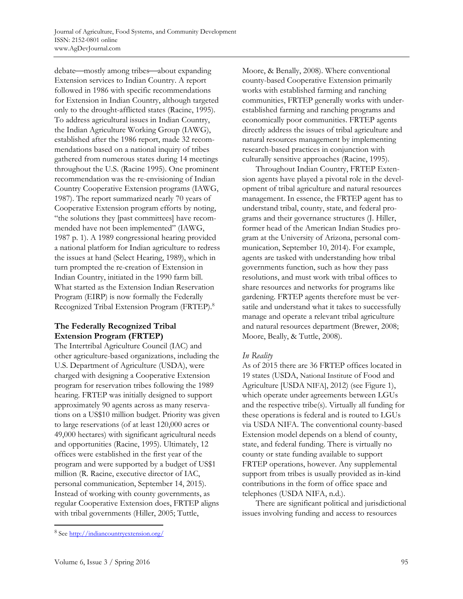debate—mostly among tribes—about expanding Extension services to Indian Country. A report followed in 1986 with specific recommendations for Extension in Indian Country, although targeted only to the drought-afflicted states (Racine, 1995). To address agricultural issues in Indian Country, the Indian Agriculture Working Group (IAWG), established after the 1986 report, made 32 recommendations based on a national inquiry of tribes gathered from numerous states during 14 meetings throughout the U.S. (Racine 1995). One prominent recommendation was the re-envisioning of Indian Country Cooperative Extension programs (IAWG, 1987). The report summarized nearly 70 years of Cooperative Extension program efforts by noting, "the solutions they [past committees] have recommended have not been implemented" (IAWG, 1987 p. 1). A 1989 congressional hearing provided a national platform for Indian agriculture to redress the issues at hand (Select Hearing, 1989), which in turn prompted the re-creation of Extension in Indian Country, initiated in the 1990 farm bill. What started as the Extension Indian Reservation Program (EIRP) is now formally the Federally Recognized Tribal Extension Program (FRTEP).8

# **The Federally Recognized Tribal Extension Program (FRTEP)**

The Intertribal Agriculture Council (IAC) and other agriculture-based organizations, including the U.S. Department of Agriculture (USDA), were charged with designing a Cooperative Extension program for reservation tribes following the 1989 hearing. FRTEP was initially designed to support approximately 90 agents across as many reservations on a US\$10 million budget. Priority was given to large reservations (of at least 120,000 acres or 49,000 hectares) with significant agricultural needs and opportunities (Racine, 1995). Ultimately, 12 offices were established in the first year of the program and were supported by a budget of US\$1 million (R. Racine, executive director of IAC, personal communication, September 14, 2015). Instead of working with county governments, as regular Cooperative Extension does, FRTEP aligns with tribal governments (Hiller, 2005; Tuttle,

Moore, & Benally, 2008). Where conventional county-based Cooperative Extension primarily works with established farming and ranching communities, FRTEP generally works with underestablished farming and ranching programs and economically poor communities. FRTEP agents directly address the issues of tribal agriculture and natural resources management by implementing research-based practices in conjunction with culturally sensitive approaches (Racine, 1995).

 Throughout Indian Country, FRTEP Extension agents have played a pivotal role in the development of tribal agriculture and natural resources management. In essence, the FRTEP agent has to understand tribal, county, state, and federal programs and their governance structures (J. Hiller, former head of the American Indian Studies program at the University of Arizona, personal communication, September 10, 2014). For example, agents are tasked with understanding how tribal governments function, such as how they pass resolutions, and must work with tribal offices to share resources and networks for programs like gardening. FRTEP agents therefore must be versatile and understand what it takes to successfully manage and operate a relevant tribal agriculture and natural resources department (Brewer, 2008; Moore, Beally, & Tuttle, 2008).

## *In Reality*

As of 2015 there are 36 FRTEP offices located in 19 states (USDA, National Institute of Food and Agriculture [USDA NIFA], 2012) (see Figure 1), which operate under agreements between LGUs and the respective tribe(s). Virtually all funding for these operations is federal and is routed to LGUs via USDA NIFA. The conventional county-based Extension model depends on a blend of county, state, and federal funding. There is virtually no county or state funding available to support FRTEP operations, however. Any supplemental support from tribes is usually provided as in-kind contributions in the form of office space and telephones (USDA NIFA, n.d.).

 There are significant political and jurisdictional issues involving funding and access to resources

 $\overline{a}$ 

<sup>&</sup>lt;sup>8</sup> See http://indiancountryextension.org/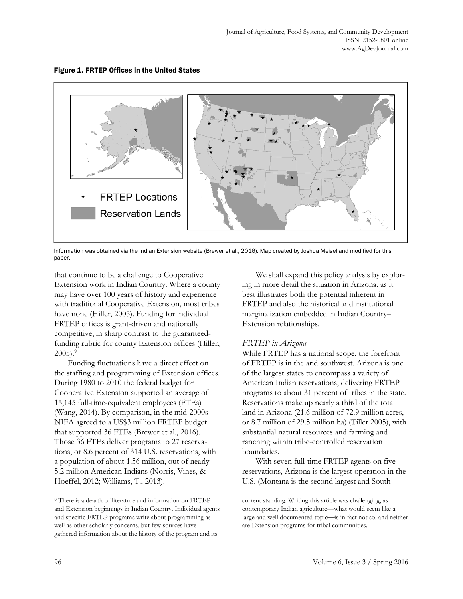



Information was obtained via the Indian Extension website (Brewer et al., 2016). Map created by Joshua Meisel and modified for this paper.

that continue to be a challenge to Cooperative Extension work in Indian Country. Where a county may have over 100 years of history and experience with traditional Cooperative Extension, most tribes have none (Hiller, 2005). Funding for individual FRTEP offices is grant-driven and nationally competitive, in sharp contrast to the guaranteedfunding rubric for county Extension offices (Hiller,  $2005$ ).<sup>9</sup>

 Funding fluctuations have a direct effect on the staffing and programming of Extension offices. During 1980 to 2010 the federal budget for Cooperative Extension supported an average of 15,145 full-time-equivalent employees (FTEs) (Wang, 2014). By comparison, in the mid-2000s NIFA agreed to a US\$3 million FRTEP budget that supported 36 FTEs (Brewer et al., 2016). Those 36 FTEs deliver programs to 27 reservations, or 8.6 percent of 314 U.S. reservations, with a population of about 1.56 million, out of nearly 5.2 million American Indians (Norris, Vines, & Hoeffel, 2012; Williams, T., 2013).

 We shall expand this policy analysis by exploring in more detail the situation in Arizona, as it best illustrates both the potential inherent in FRTEP and also the historical and institutional marginalization embedded in Indian Country– Extension relationships.

## *FRTEP in Arizona*

While FRTEP has a national scope, the forefront of FRTEP is in the arid southwest. Arizona is one of the largest states to encompass a variety of American Indian reservations, delivering FRTEP programs to about 31 percent of tribes in the state. Reservations make up nearly a third of the total land in Arizona (21.6 million of 72.9 million acres, or 8.7 million of 29.5 million ha) (Tiller 2005), with substantial natural resources and farming and ranching within tribe-controlled reservation boundaries.

 With seven full-time FRTEP agents on five reservations, Arizona is the largest operation in the U.S. (Montana is the second largest and South

**.** 

<sup>9</sup> There is a dearth of literature and information on FRTEP and Extension beginnings in Indian Country. Individual agents and specific FRTEP programs write about programming as well as other scholarly concerns, but few sources have gathered information about the history of the program and its

current standing. Writing this article was challenging, as contemporary Indian agriculture—what would seem like a large and well documented topic—is in fact not so, and neither are Extension programs for tribal communities.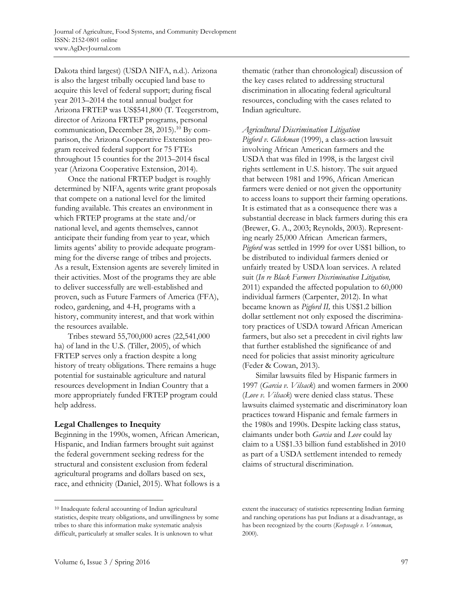Dakota third largest) (USDA NIFA, n.d.). Arizona is also the largest tribally occupied land base to acquire this level of federal support; during fiscal year 2013–2014 the total annual budget for Arizona FRTEP was US\$541,800 (T. Teegerstrom, director of Arizona FRTEP programs, personal communication, December 28, 2015).10 By comparison, the Arizona Cooperative Extension program received federal support for 75 FTEs throughout 15 counties for the 2013–2014 fiscal year (Arizona Cooperative Extension, 2014).

 Once the national FRTEP budget is roughly determined by NIFA, agents write grant proposals that compete on a national level for the limited funding available. This creates an environment in which FRTEP programs at the state and/or national level, and agents themselves, cannot anticipate their funding from year to year, which limits agents' ability to provide adequate programming for the diverse range of tribes and projects. As a result, Extension agents are severely limited in their activities. Most of the programs they are able to deliver successfully are well-established and proven, such as Future Farmers of America (FFA), rodeo, gardening, and 4-H, programs with a history, community interest, and that work within the resources available.

 Tribes steward 55,700,000 acres (22,541,000 ha) of land in the U.S. (Tiller, 2005), of which FRTEP serves only a fraction despite a long history of treaty obligations. There remains a huge potential for sustainable agriculture and natural resources development in Indian Country that a more appropriately funded FRTEP program could help address.

## **Legal Challenges to Inequity**

Beginning in the 1990s, women, African American, Hispanic, and Indian farmers brought suit against the federal government seeking redress for the structural and consistent exclusion from federal agricultural programs and dollars based on sex, race, and ethnicity (Daniel, 2015). What follows is a thematic (rather than chronological) discussion of the key cases related to addressing structural discrimination in allocating federal agricultural resources, concluding with the cases related to Indian agriculture.

## *Agricultural Discrimination Litigation*

*Pigford v. Glickman* (1999), a class-action lawsuit involving African American farmers and the USDA that was filed in 1998, is the largest civil rights settlement in U.S. history. The suit argued that between 1981 and 1996, African American farmers were denied or not given the opportunity to access loans to support their farming operations. It is estimated that as a consequence there was a substantial decrease in black farmers during this era (Brewer, G. A., 2003; Reynolds, 2003). Representing nearly 25,000 African American farmers, *Pigford* was settled in 1999 for over US\$1 billion, to be distributed to individual farmers denied or unfairly treated by USDA loan services. A related suit (*In re Black Farmers Discrimination Litigation,*  2011) expanded the affected population to 60,000 individual farmers (Carpenter, 2012). In what became known as *Pigford II,* this US\$1.2 billion dollar settlement not only exposed the discriminatory practices of USDA toward African American farmers, but also set a precedent in civil rights law that further established the significance of and need for policies that assist minority agriculture (Feder & Cowan, 2013).

 Similar lawsuits filed by Hispanic farmers in 1997 (*Garcia v. Vilsack*) and women farmers in 2000 (*Love v. Vilsack*) were denied class status. These lawsuits claimed systematic and discriminatory loan practices toward Hispanic and female farmers in the 1980s and 1990s. Despite lacking class status, claimants under both *Garcia* and *Love* could lay claim to a US\$1.33 billion fund established in 2010 as part of a USDA settlement intended to remedy claims of structural discrimination.

 $\overline{a}$ 

<sup>10</sup> Inadequate federal accounting of Indian agricultural statistics, despite treaty obligations, and unwillingness by some tribes to share this information make systematic analysis difficult, particularly at smaller scales. It is unknown to what

extent the inaccuracy of statistics representing Indian farming and ranching operations has put Indians at a disadvantage, as has been recognized by the courts (*Keepseagle v. Venneman*, 2000).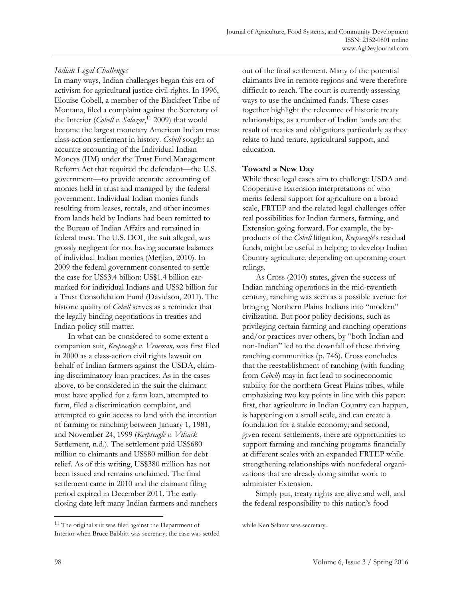# *Indian Legal Challenges*

In many ways, Indian challenges began this era of activism for agricultural justice civil rights. In 1996, Elouise Cobell, a member of the Blackfeet Tribe of Montana, filed a complaint against the Secretary of the Interior (*Cobell v. Salazar*, 11 2009) that would become the largest monetary American Indian trust class-action settlement in history. *Cobell* sought an accurate accounting of the Individual Indian Moneys (IIM) under the Trust Fund Management Reform Act that required the defendant—the U.S. government-to provide accurate accounting of monies held in trust and managed by the federal government. Individual Indian monies funds resulting from leases, rentals, and other incomes from lands held by Indians had been remitted to the Bureau of Indian Affairs and remained in federal trust. The U.S. DOI, the suit alleged, was grossly negligent for not having accurate balances of individual Indian monies (Merjian, 2010). In 2009 the federal government consented to settle the case for US\$3.4 billion: US\$1.4 billion earmarked for individual Indians and US\$2 billion for a Trust Consolidation Fund (Davidson, 2011). The historic quality of *Cobell* serves as a reminder that the legally binding negotiations in treaties and Indian policy still matter.

 In what can be considered to some extent a companion suit, *Keepseagle v. Veneman,* was first filed in 2000 as a class-action civil rights lawsuit on behalf of Indian farmers against the USDA, claiming discriminatory loan practices. As in the cases above, to be considered in the suit the claimant must have applied for a farm loan, attempted to farm, filed a discrimination complaint, and attempted to gain access to land with the intention of farming or ranching between January 1, 1981, and November 24, 1999 (*Keepseagle v. Vilsack* Settlement, n.d.). The settlement paid US\$680 million to claimants and US\$80 million for debt relief. As of this writing, US\$380 million has not been issued and remains unclaimed. The final settlement came in 2010 and the claimant filing period expired in December 2011. The early closing date left many Indian farmers and ranchers

out of the final settlement. Many of the potential claimants live in remote regions and were therefore difficult to reach. The court is currently assessing ways to use the unclaimed funds. These cases together highlight the relevance of historic treaty relationships, as a number of Indian lands are the result of treaties and obligations particularly as they relate to land tenure, agricultural support, and education.

# **Toward a New Day**

While these legal cases aim to challenge USDA and Cooperative Extension interpretations of who merits federal support for agriculture on a broad scale, FRTEP and the related legal challenges offer real possibilities for Indian farmers, farming, and Extension going forward. For example, the byproducts of the *Cobell* litigation, *Keepseagle*'s residual funds, might be useful in helping to develop Indian Country agriculture, depending on upcoming court rulings.

 As Cross (2010) states, given the success of Indian ranching operations in the mid-twentieth century, ranching was seen as a possible avenue for bringing Northern Plains Indians into "modern" civilization. But poor policy decisions, such as privileging certain farming and ranching operations and/or practices over others, by "both Indian and non-Indian" led to the downfall of these thriving ranching communities (p. 746). Cross concludes that the reestablishment of ranching (with funding from *Cobell*) may in fact lead to socioeconomic stability for the northern Great Plains tribes, while emphasizing two key points in line with this paper: first, that agriculture in Indian Country can happen, is happening on a small scale, and can create a foundation for a stable economy; and second, given recent settlements, there are opportunities to support farming and ranching programs financially at different scales with an expanded FRTEP while strengthening relationships with nonfederal organizations that are already doing similar work to administer Extension.

 Simply put, treaty rights are alive and well, and the federal responsibility to this nation's food

**.** 

<sup>&</sup>lt;sup>11</sup> The original suit was filed against the Department of Interior when Bruce Babbitt was secretary; the case was settled

while Ken Salazar was secretary.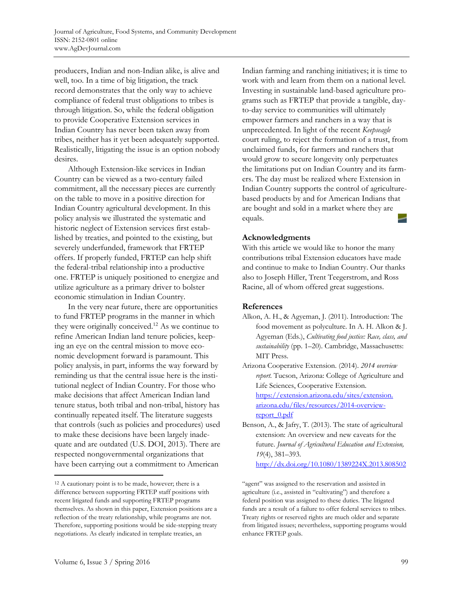producers, Indian and non-Indian alike, is alive and well, too. In a time of big litigation, the track record demonstrates that the only way to achieve compliance of federal trust obligations to tribes is through litigation. So, while the federal obligation to provide Cooperative Extension services in Indian Country has never been taken away from tribes, neither has it yet been adequately supported. Realistically, litigating the issue is an option nobody desires.

 Although Extension-like services in Indian Country can be viewed as a two-century failed commitment, all the necessary pieces are currently on the table to move in a positive direction for Indian Country agricultural development. In this policy analysis we illustrated the systematic and historic neglect of Extension services first established by treaties, and pointed to the existing, but severely underfunded, framework that FRTEP offers. If properly funded, FRTEP can help shift the federal-tribal relationship into a productive one. FRTEP is uniquely positioned to energize and utilize agriculture as a primary driver to bolster economic stimulation in Indian Country.

 In the very near future, there are opportunities to fund FRTEP programs in the manner in which they were originally conceived.12 As we continue to refine American Indian land tenure policies, keeping an eye on the central mission to move economic development forward is paramount. This policy analysis, in part, informs the way forward by reminding us that the central issue here is the institutional neglect of Indian Country. For those who make decisions that affect American Indian land tenure status, both tribal and non-tribal, history has continually repeated itself. The literature suggests that controls (such as policies and procedures) used to make these decisions have been largely inadequate and are outdated (U.S. DOI, 2013). There are respected nongovernmental organizations that have been carrying out a commitment to American

Indian farming and ranching initiatives; it is time to work with and learn from them on a national level. Investing in sustainable land-based agriculture programs such as FRTEP that provide a tangible, dayto-day service to communities will ultimately empower farmers and ranchers in a way that is unprecedented. In light of the recent *Keepseagle* court ruling, to reject the formation of a trust, from unclaimed funds, for farmers and ranchers that would grow to secure longevity only perpetuates the limitations put on Indian Country and its farmers. The day must be realized where Extension in Indian Country supports the control of agriculturebased products by and for American Indians that are bought and sold in a market where they are equals.

## **Acknowledgments**

With this article we would like to honor the many contributions tribal Extension educators have made and continue to make to Indian Country. Our thanks also to Joseph Hiller, Trent Teegerstrom, and Ross Racine, all of whom offered great suggestions.

# **References**

Alkon, A. H., & Agyeman, J. (2011). Introduction: The food movement as polyculture. In A. H. Alkon & J. Agyeman (Eds.), *Cultivating food justice: Race, class, and sustainability* (pp. 1–20). Cambridge, Massachusetts: MIT Press.

Arizona Cooperative Extension. (2014). *2014 overview report.* Tucson, Arizona: College of Agriculture and Life Sciences, Cooperative Extension. [https://extension.arizona.edu/sites/extension.](https://extension.arizona.edu/sites/extension.arizona.edu/files/resources/2014-overview-report_0.pdf)  arizona.edu/files/resources/2014-overviewreport\_0.pdf

Benson, A., & Jafry, T. (2013). The state of agricultural extension: An overview and new caveats for the future. *Journal of Agricultural Education and Extension, 19*(4), 381–393. http://dx.doi.org/10.1080/1389224X.2013.808502

 $\overline{a}$ 

<sup>12</sup> A cautionary point is to be made, however; there is a difference between supporting FRTEP staff positions with recent litigated funds and supporting FRTEP programs themselves. As shown in this paper, Extension positions are a reflection of the treaty relationship, while programs are not. Therefore, supporting positions would be side-stepping treaty negotiations. As clearly indicated in template treaties, an

<sup>&</sup>quot;agent" was assigned to the reservation and assisted in agriculture (i.e., assisted in "cultivating") and therefore a federal position was assigned to these duties. The litigated funds are a result of a failure to offer federal services to tribes. Treaty rights or reserved rights are much older and separate from litigated issues; nevertheless, supporting programs would enhance FRTEP goals.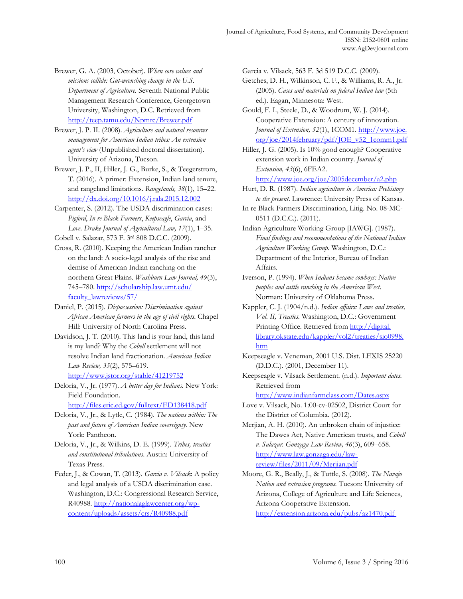- Brewer, G. A. (2003, October). *When core values and missions collide: Gut-wrenching change in the U.S. Department of Agriculture.* Seventh National Public Management Research Conference, Georgetown University, Washington, D.C. Retrieved from http://teep.tamu.edu/Npmrc/Brewer.pdf
- Brewer, J. P. II. (2008). *Agriculture and natural resources management for American Indian tribes: An extension agent's view* (Unpublished doctoral dissertation). University of Arizona, Tucson.
- Brewer, J. P., II, Hiller, J. G., Burke, S., & Teegerstrom, T. (2016)*.* A primer: Extension, Indian land tenure, and rangeland limitations. *Rangelands, 38*(1), 15–22. http://dx.doi.org/10.1016/j.rala.2015.12.002
- Carpenter, S. (2012). The USDA discrimination cases: *Pigford*, *In re Black Farmers*, *Keepseagle*, *Garcia*, and *Love*. *Drake Journal of Agricultural Law, 17*(1), 1–35.

Cobell v. Salazar, 573 F. 3rd 808 D.C.C. (2009).

- Cross, R. (2010). Keeping the American Indian rancher on the land: A socio-legal analysis of the rise and demise of American Indian ranching on the northern Great Plains. *Washburn Law Journal, 49*(3), [745–780. http://scholarship.law.umt.edu/](http://scholarship.law.umt.edu/faculty_lawreviews/57/) faculty\_lawreviews/57/
- Daniel, P. (2015). *Dispossession: Discrimination against African American farmers in the age of civil rights*. Chapel Hill: University of North Carolina Press.
- Davidson, J. T. (2010). This land is your land, this land is my land? Why the *Cobell* settlement will not resolve Indian land fractionation. *American Indian Law Review, 35*(2), 575–619. http://www.jstor.org/stable/41219752
- Deloria, V., Jr. (1977). *A better day for Indians.* New York: Field Foundation.

http://files.eric.ed.gov/fulltext/ED138418.pdf

- Deloria, V., Jr., & Lytle, C. (1984). *The nations within: The past and future of American Indian sovereignty*. New York: Pantheon.
- Deloria, V., Jr., & Wilkins, D. E. (1999). *Tribes, treaties and constitutional tribulations*. Austin: University of Texas Press.
- Feder, J., & Cowan, T. (2013). *Garcia v. Vilsack*: A policy and legal analysis of a USDA discrimination case. Washington, D.C.: Congressional Research Service, R40988. http://nationalaglawcenter.org/wpcontent/uploads/assets/crs/R40988.pdf

Garcia v. Vilsack, 563 F. 3d 519 D.C.C. (2009).

- Getches, D. H., Wilkinson, C. F., & Williams, R. A., Jr. (2005). *Cases and materials on federal Indian law* (5th ed.). Eagan, Minnesota: West.
- Gould, F. I., Steele, D., & Woodrum, W. J. (2014). Cooperative Extension: A century of innovation. *Journal of Extension, 52*(1), 1COM1. http://www.joe. [org/joe/2014february/pdf/JOE\\_v52\\_1comm1.pdf](http://www.joe.org/joe/2014february/pdf/JOE_v52_1comm1.pdf)
- Hiller, J. G. (2005). Is 10% good enough? Cooperative extension work in Indian country. *Journal of Extension, 43*(6), 6FEA2.

http://www.joe.org/joe/2005december/a2.php

- Hurt, D. R. (1987). *Indian agriculture in America: Prehistory to the present*. Lawrence: University Press of Kansas.
- In re Black Farmers Discrimination, Litig. No. 08-MC-0511 (D.C.C.). (2011).
- Indian Agriculture Working Group [IAWG]. (1987). *Final findings and recommendations of the National Indian Agriculture Working Group.* Washington, D.C.: Department of the Interior, Bureau of Indian Affairs.
- Iverson, P. (1994). *When Indians became cowboys: Native peoples and cattle ranching in the American West*. Norman: University of Oklahoma Press.
- Kappler, C. J. (1904/n.d.). *Indian affairs: Laws and treaties, Vol. II, Treaties.* Washington, D.C.: Government Printing Office. Retrieved from http://digital. [library.okstate.edu/kappler/vol2/treaties/sio0998.](http://digital.library.okstate.edu/kappler/vol2/treaties/sio0998.htm)  htm
- Keepseagle v. Veneman, 2001 U.S. Dist. LEXIS 25220 (D.D.C.). (2001, December 11).
- Keepseagle v. Vilsack Settlement. (n.d.). *Important dates.* Retrieved from

http://www.indianfarmclass.com/Dates.aspx

- Love v. Vilsack, No. 1:00-cv-02502, District Court for the District of Columbia. (2012).
- Merjian, A. H. (2010). An unbroken chain of injustice: The Dawes Act, Native American trusts, and *Cobell v. Salazar. Gonzaga Law Review, 46*(3), 609–658. http://www.law.gonzaga.edu/lawreview/files/2011/09/Merjian.pdf
- Moore, G. R., Beally, J., & Tuttle, S. (2008). *The Navajo Nation and extension programs.* Tucson: University of Arizona, College of Agriculture and Life Sciences, Arizona Cooperative Extension.

http://extension.arizona.edu/pubs/az1470.pdf